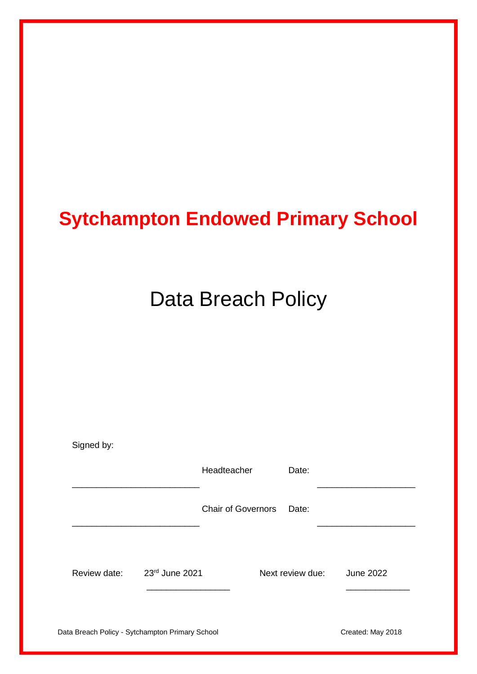## **Sytchampton Endowed Primary School**

# Data Breach Policy

| Signed by:                                      |                |                           |                  |                   |
|-------------------------------------------------|----------------|---------------------------|------------------|-------------------|
|                                                 |                | Headteacher               | Date:            |                   |
|                                                 |                | <b>Chair of Governors</b> | Date:            |                   |
|                                                 |                |                           |                  |                   |
| Review date:                                    | 23rd June 2021 |                           | Next review due: | <b>June 2022</b>  |
|                                                 |                |                           |                  |                   |
| Data Breach Policy - Sytchampton Primary School |                |                           |                  | Created: May 2018 |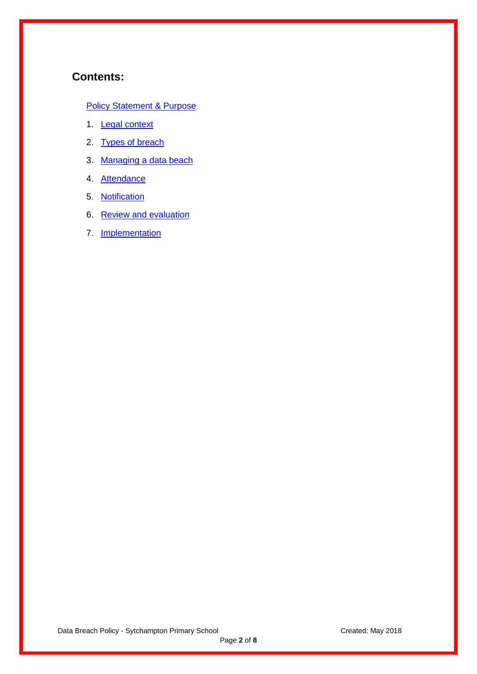## **Contents:**

#### **[Policy Statement & Purpose](#page-2-0)**

- 1. Legal context
- 2. Types of breach
- 3. Managing a data beach
- 4. Attendance
- 5. Notification
- 6. Review and evaluation
- 7. **Implementation**

Data Breach Policy - Sytchampton Primary School Created: May 2018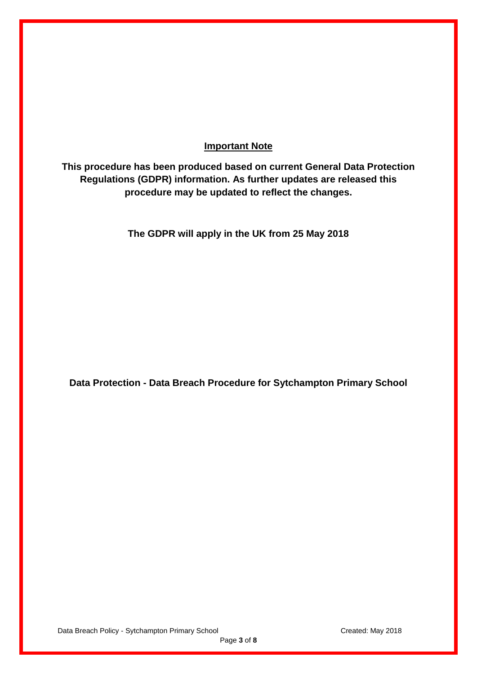#### **Important Note**

<span id="page-2-0"></span>**This procedure has been produced based on current General Data Protection Regulations (GDPR) information. As further updates are released this procedure may be updated to reflect the changes.**

**The GDPR will apply in the UK from 25 May 2018** 

**Data Protection - Data Breach Procedure for Sytchampton Primary School**

Page **3** of **8**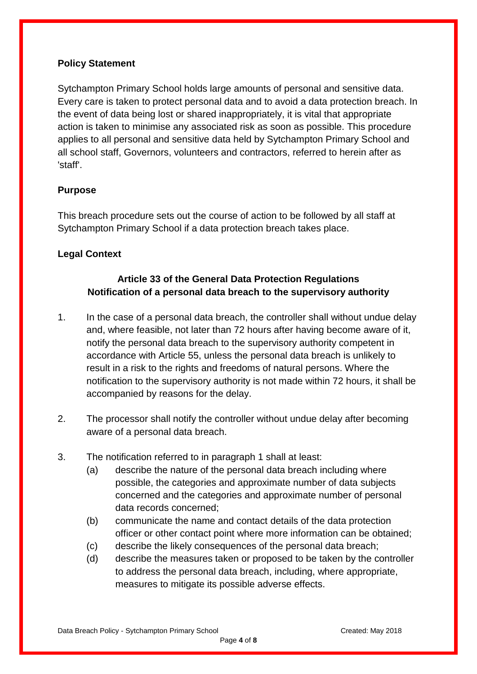#### **Policy Statement**

Sytchampton Primary School holds large amounts of personal and sensitive data. Every care is taken to protect personal data and to avoid a data protection breach. In the event of data being lost or shared inappropriately, it is vital that appropriate action is taken to minimise any associated risk as soon as possible. This procedure applies to all personal and sensitive data held by Sytchampton Primary School and all school staff, Governors, volunteers and contractors, referred to herein after as 'staff'.

## **Purpose**

This breach procedure sets out the course of action to be followed by all staff at Sytchampton Primary School if a data protection breach takes place.

## **Legal Context**

## **Article 33 of the General Data Protection Regulations Notification of a personal data breach to the supervisory authority**

- 1. In the case of a personal data breach, the controller shall without undue delay and, where feasible, not later than 72 hours after having become aware of it, notify the personal data breach to the supervisory authority competent in accordance with Article 55, unless the personal data breach is unlikely to result in a risk to the rights and freedoms of natural persons. Where the notification to the supervisory authority is not made within 72 hours, it shall be accompanied by reasons for the delay.
- 2. The processor shall notify the controller without undue delay after becoming aware of a personal data breach.
- 3. The notification referred to in paragraph 1 shall at least:
	- (a) describe the nature of the personal data breach including where possible, the categories and approximate number of data subjects concerned and the categories and approximate number of personal data records concerned;
	- (b) communicate the name and contact details of the data protection officer or other contact point where more information can be obtained;
	- (c) describe the likely consequences of the personal data breach;
	- (d) describe the measures taken or proposed to be taken by the controller to address the personal data breach, including, where appropriate, measures to mitigate its possible adverse effects.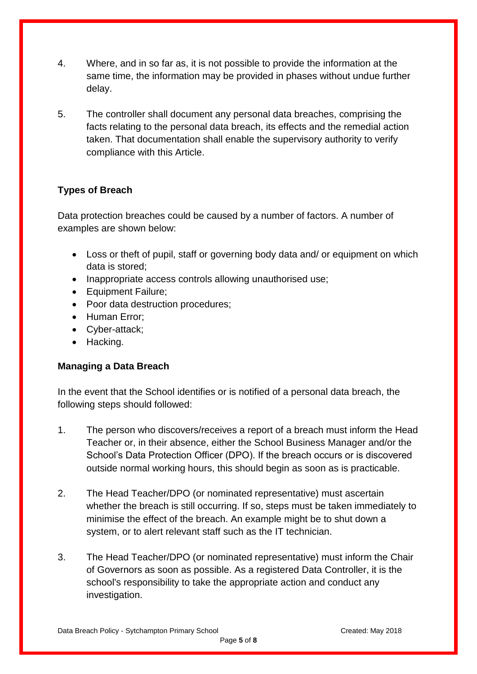- 4. Where, and in so far as, it is not possible to provide the information at the same time, the information may be provided in phases without undue further delay.
- 5. The controller shall document any personal data breaches, comprising the facts relating to the personal data breach, its effects and the remedial action taken. That documentation shall enable the supervisory authority to verify compliance with this Article.

## **Types of Breach**

Data protection breaches could be caused by a number of factors. A number of examples are shown below:

- Loss or theft of pupil, staff or governing body data and/ or equipment on which data is stored;
- Inappropriate access controls allowing unauthorised use:
- Equipment Failure;
- Poor data destruction procedures;
- Human Error;
- Cyber-attack;
- Hacking.

## **Managing a Data Breach**

In the event that the School identifies or is notified of a personal data breach, the following steps should followed:

- 1. The person who discovers/receives a report of a breach must inform the Head Teacher or, in their absence, either the School Business Manager and/or the School's Data Protection Officer (DPO). If the breach occurs or is discovered outside normal working hours, this should begin as soon as is practicable.
- 2. The Head Teacher/DPO (or nominated representative) must ascertain whether the breach is still occurring. If so, steps must be taken immediately to minimise the effect of the breach. An example might be to shut down a system, or to alert relevant staff such as the IT technician.
- 3. The Head Teacher/DPO (or nominated representative) must inform the Chair of Governors as soon as possible. As a registered Data Controller, it is the school's responsibility to take the appropriate action and conduct any investigation.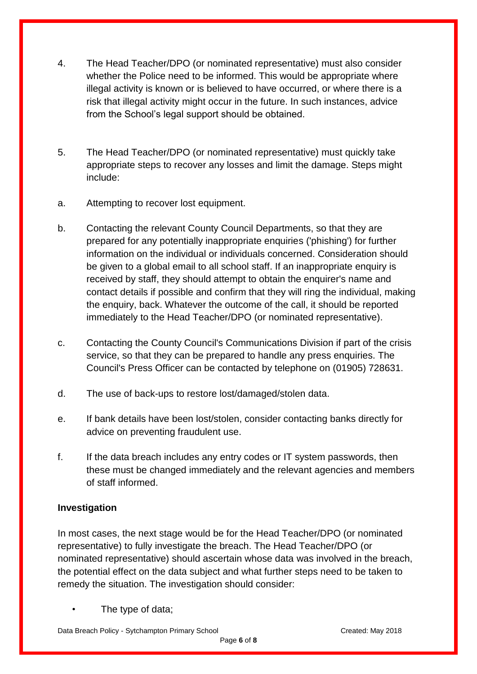- 4. The Head Teacher/DPO (or nominated representative) must also consider whether the Police need to be informed. This would be appropriate where illegal activity is known or is believed to have occurred, or where there is a risk that illegal activity might occur in the future. In such instances, advice from the School's legal support should be obtained.
- 5. The Head Teacher/DPO (or nominated representative) must quickly take appropriate steps to recover any losses and limit the damage. Steps might include:
- a. Attempting to recover lost equipment.
- b. Contacting the relevant County Council Departments, so that they are prepared for any potentially inappropriate enquiries ('phishing') for further information on the individual or individuals concerned. Consideration should be given to a global email to all school staff. If an inappropriate enquiry is received by staff, they should attempt to obtain the enquirer's name and contact details if possible and confirm that they will ring the individual, making the enquiry, back. Whatever the outcome of the call, it should be reported immediately to the Head Teacher/DPO (or nominated representative).
- c. Contacting the County Council's Communications Division if part of the crisis service, so that they can be prepared to handle any press enquiries. The Council's Press Officer can be contacted by telephone on (01905) 728631.
- d. The use of back-ups to restore lost/damaged/stolen data.
- e. If bank details have been lost/stolen, consider contacting banks directly for advice on preventing fraudulent use.
- f. If the data breach includes any entry codes or IT system passwords, then these must be changed immediately and the relevant agencies and members of staff informed.

## **Investigation**

In most cases, the next stage would be for the Head Teacher/DPO (or nominated representative) to fully investigate the breach. The Head Teacher/DPO (or nominated representative) should ascertain whose data was involved in the breach, the potential effect on the data subject and what further steps need to be taken to remedy the situation. The investigation should consider:

The type of data;

Data Breach Policy - Sytchampton Primary School Created: Created: May 2018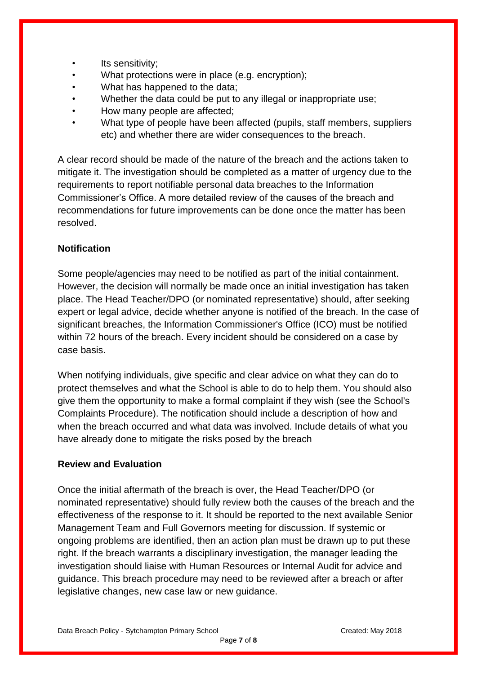- Its sensitivity;
- What protections were in place (e.g. encryption);
- What has happened to the data;
- Whether the data could be put to any illegal or inappropriate use;
- How many people are affected;
- What type of people have been affected (pupils, staff members, suppliers etc) and whether there are wider consequences to the breach.

A clear record should be made of the nature of the breach and the actions taken to mitigate it. The investigation should be completed as a matter of urgency due to the requirements to report notifiable personal data breaches to the Information Commissioner's Office. A more detailed review of the causes of the breach and recommendations for future improvements can be done once the matter has been resolved.

#### **Notification**

Some people/agencies may need to be notified as part of the initial containment. However, the decision will normally be made once an initial investigation has taken place. The Head Teacher/DPO (or nominated representative) should, after seeking expert or legal advice, decide whether anyone is notified of the breach. In the case of significant breaches, the Information Commissioner's Office (ICO) must be notified within 72 hours of the breach. Every incident should be considered on a case by case basis.

When notifying individuals, give specific and clear advice on what they can do to protect themselves and what the School is able to do to help them. You should also give them the opportunity to make a formal complaint if they wish (see the School's Complaints Procedure). The notification should include a description of how and when the breach occurred and what data was involved. Include details of what you have already done to mitigate the risks posed by the breach

#### **Review and Evaluation**

Once the initial aftermath of the breach is over, the Head Teacher/DPO (or nominated representative) should fully review both the causes of the breach and the effectiveness of the response to it. It should be reported to the next available Senior Management Team and Full Governors meeting for discussion. If systemic or ongoing problems are identified, then an action plan must be drawn up to put these right. If the breach warrants a disciplinary investigation, the manager leading the investigation should liaise with Human Resources or Internal Audit for advice and guidance. This breach procedure may need to be reviewed after a breach or after legislative changes, new case law or new guidance.